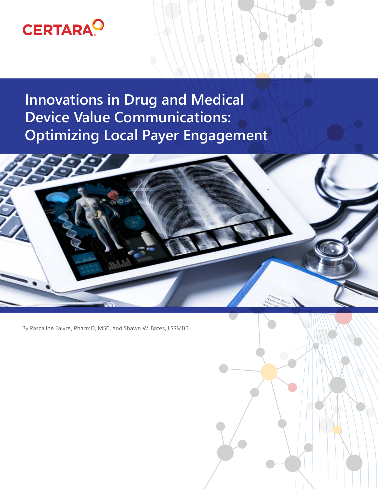# **CERTARA<sup>O</sup>**

**Innovations in Drug and Medical Device Value Communications: Optimizing Local Payer Engagement** 



By Pascaline Faivre, PharmD, MSC, and Shawn W. Bates, LSSMBB

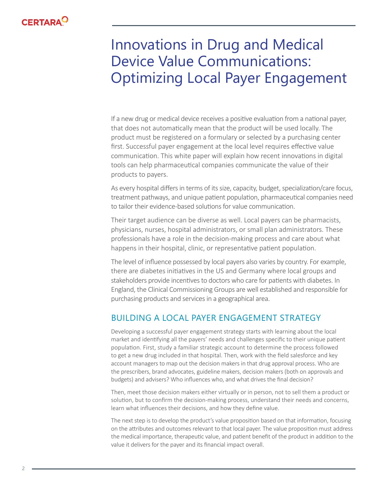

# Innovations in Drug and Medical Device Value Communications: Optimizing Local Payer Engagement

If a new drug or medical device receives a positive evaluation from a national payer, that does not automatically mean that the product will be used locally. The product must be registered on a formulary or selected by a purchasing center first. Successful payer engagement at the local level requires effective value communication. This white paper will explain how recent innovations in digital tools can help pharmaceutical companies communicate the value of their products to payers.

As every hospital differs in terms of its size, capacity, budget, specialization/care focus, treatment pathways, and unique patient population, pharmaceutical companies need to tailor their evidence-based solutions for value communication.

Their target audience can be diverse as well. Local payers can be pharmacists, physicians, nurses, hospital administrators, or small plan administrators. These professionals have a role in the decision-making process and care about what happens in their hospital, clinic, or representative patient population.

The level of influence possessed by local payers also varies by country. For example, there are diabetes initiatives in the US and Germany where local groups and stakeholders provide incentives to doctors who care for patients with diabetes. In England, the Clinical Commissioning Groups are well established and responsible for purchasing products and services in a geographical area.

### BUILDING A LOCAL PAYER ENGAGEMENT STRATEGY

Developing a successful payer engagement strategy starts with learning about the local market and identifying all the payers' needs and challenges specific to their unique patient population. First, study a familiar strategic account to determine the process followed to get a new drug included in that hospital. Then, work with the field salesforce and key account managers to map out the decision makers in that drug approval process. Who are the prescribers, brand advocates, guideline makers, decision makers (both on approvals and budgets) and advisers? Who influences who, and what drives the final decision?

Then, meet those decision makers either virtually or in person, not to sell them a product or solution, but to confirm the decision-making process, understand their needs and concerns, learn what influences their decisions, and how they define value.

The next step is to develop the product's value proposition based on that information, focusing on the attributes and outcomes relevant to that local payer. The value proposition must address the medical importance, therapeutic value, and patient benefit of the product in addition to the value it delivers for the payer and its financial impact overall.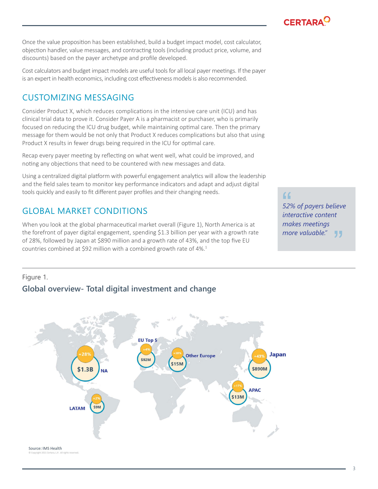**CERTARA<sup>C</sup>** 

Once the value proposition has been established, build a budget impact model, cost calculator, objection handler, value messages, and contracting tools (including product price, volume, and discounts) based on the payer archetype and profile developed.

Cost calculators and budget impact models are useful tools for all local payer meetings. If the payer is an expert in health economics, including cost effectiveness models is also recommended.

### CUSTOMIZING MESSAGING

Consider Product X, which reduces complications in the intensive care unit (ICU) and has clinical trial data to prove it. Consider Payer A is a pharmacist or purchaser, who is primarily focused on reducing the ICU drug budget, while maintaining optimal care. Then the primary message for them would be not only that Product X reduces complications but also that using Product X results in fewer drugs being required in the ICU for optimal care.

Recap every payer meeting by reflecting on what went well, what could be improved, and noting any objections that need to be countered with new messages and data.

Using a centralized digital platform with powerful engagement analytics will allow the leadership and the field sales team to monitor key performance indicators and adapt and adjust digital tools quickly and easily to fit different payer profiles and their changing needs.

## GLOBAL MARKET CONDITIONS

When you look at the global pharmaceutical market overall (Figure 1), North America is at the forefront of payer digital engagement, spending \$1.3 billion per year with a growth rate of 28%, followed by Japan at \$890 million and a growth rate of 43%, and the top five EU countries combined at \$92 million with a combined growth rate of 4%.<sup>1</sup>

*52% of payers believe interactive content makes meetings more valuable."*  $^{\sim}$  52%<br>inte "

### Figure 1.

### **Global overview- Total digital investment and change**

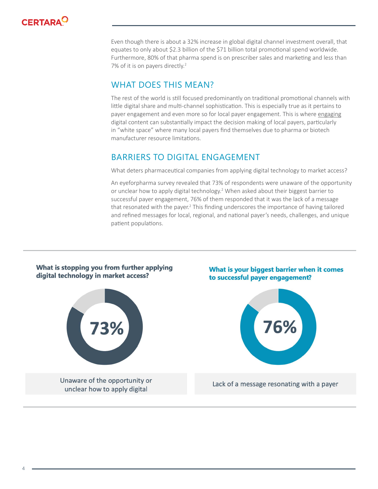

Even though there is about a 32% increase in global digital channel investment overall, that equates to only about \$2.3 billion of the \$71 billion total promotional spend worldwide. Furthermore, 80% of that pharma spend is on prescriber sales and marketing and less than 7% of it is on payers directly.<sup>2</sup>

### WHAT DOES THIS MEAN?

The rest of the world is still focused predominantly on traditional promotional channels with little digital share and multi-channel sophistication. This is especially true as it pertains to payer engagement and even more so for local payer engagement. This is where engaging digital content can substantially impact the decision making of local payers, particularly in "white space" where many local payers find themselves due to pharma or biotech manufacturer resource limitations.

### BARRIERS TO DIGITAL ENGAGEMENT

What deters pharmaceutical companies from applying digital technology to market access?

An eyeforpharma survey revealed that 73% of respondents were unaware of the opportunity or unclear how to apply digital technology.<sup>2</sup> When asked about their biggest barrier to successful payer engagement, 76% of them responded that it was the lack of a message that resonated with the payer.<sup>2</sup> This finding underscores the importance of having tailored and refined messages for local, regional, and national payer's needs, challenges, and unique patient populations.



4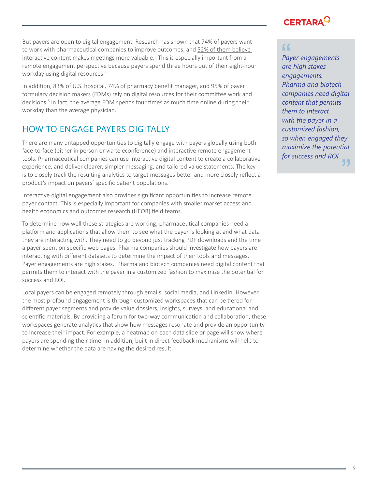But payers are open to digital engagement. Research has shown that 74% of payers want to work with pharmaceutical companies to improve outcomes, and 52% of them believe interactive content makes meetings more valuable.<sup>3</sup> This is especially important from a remote engagement perspective because payers spend three hours out of their eight-hour workday using digital resources.<sup>4</sup>

In addition, 83% of U.S. hospital, 74% of pharmacy benefit manager, and 95% of payer formulary decision makers (FDMs) rely on digital resources for their committee work and decisions.<sup>5</sup> In fact, the average FDM spends four times as much time online during their workday than the average physician.<sup>5</sup>

### HOW TO ENGAGE PAYERS DIGITALLY

There are many untapped opportunities to digitally engage with payers globally using both face-to-face (either in person or via teleconference) and interactive remote engagement tools. Pharmaceutical companies can use interactive digital content to create a collaborative experience, and deliver clearer, simpler messaging, and tailored value statements. The key is to closely track the resulting analytics to target messages better and more closely reflect a product's impact on payers' specific patient populations.

Interactive digital engagement also provides significant opportunities to increase remote payer contact. This is especially important for companies with smaller market access and health economics and outcomes research (HEOR) field teams.

To determine how well these strategies are working, pharmaceutical companies need a platform and applications that allow them to see what the payer is looking at and what data they are interacting with. They need to go beyond just tracking PDF downloads and the time a payer spent on specific web pages. Pharma companies should investigate how payers are interacting with different datasets to determine the impact of their tools and messages. Payer engagements are high stakes. Pharma and biotech companies need digital content that permits them to interact with the payer in a customized fashion to maximize the potential for success and ROI.

Local payers can be engaged remotely through emails, social media, and LinkedIn. However, the most profound engagement is through customized workspaces that can be tiered for different payer segments and provide value dossiers, insights, surveys, and educational and scientific materials. By providing a forum for two-way communication and collaboration, these workspaces generate analytics that show how messages resonate and provide an opportunity to increase their impact. For example, a heatmap on each data slide or page will show where payers are spending their time. In addition, built in direct feedback mechanisms will help to determine whether the data are having the desired result.

## **CERTARA**

*Payer engagements are high stakes engagements. Pharma and biotech companies need digital content that permits them to interact with the payer in a customized fashion, so when engaged they maximize the potential for success and ROI.* (<br>"<br>Pay<br>are "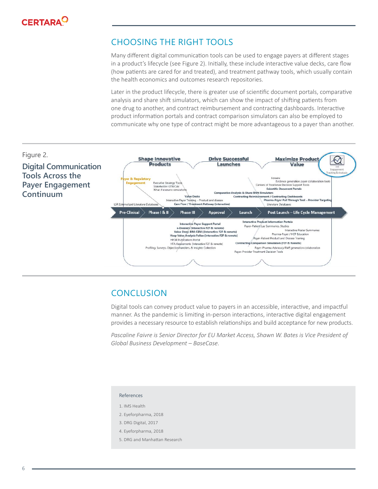

### CHOOSING THE RIGHT TOOLS

Many different digital communication tools can be used to engage payers at different stages in a product's lifecycle (see Figure 2). Initially, these include interactive value decks, care flow (how patients are cared for and treated), and treatment pathway tools, which usually contain the health economics and outcomes research repositories.

Later in the product lifecycle, there is greater use of scientific document portals, comparative analysis and share shift simulators, which can show the impact of shifting patients from one drug to another, and contract reimbursement and contracting dashboards. Interactive product information portals and contract comparison simulators can also be employed to communicate why one type of contract might be more advantageous to a payer than another.



### **CONCLUSION**

Digital tools can convey product value to payers in an accessible, interactive, and impactful manner. As the pandemic is limiting in-person interactions, interactive digital engagement provides a necessary resource to establish relationships and build acceptance for new products.

Pascaline Faivre is Senior Director for EU Market Access, Shawn W. Bates is Vice President of *Global Business Development – BaseCase.*

### References

- 1. IMS Health
- 2. Eyeforpharma, 2018
- 3. DRG Digital, 2017
- 4. Eyeforpharma, 2018
- 5. DRG and Manhattan Research